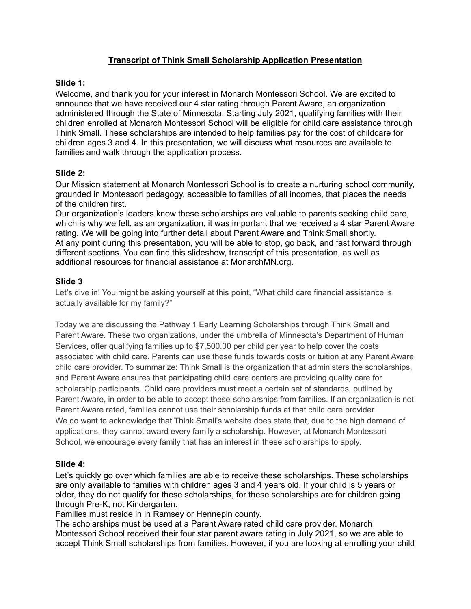# **Transcript of Think Small Scholarship Application Presentation**

### **Slide 1:**

Welcome, and thank you for your interest in Monarch Montessori School. We are excited to announce that we have received our 4 star rating through Parent Aware, an organization administered through the State of Minnesota. Starting July 2021, qualifying families with their children enrolled at Monarch Montessori School will be eligible for child care assistance through Think Small. These scholarships are intended to help families pay for the cost of childcare for children ages 3 and 4. In this presentation, we will discuss what resources are available to families and walk through the application process.

# **Slide 2:**

Our Mission statement at Monarch Montessori School is to create a nurturing school community, grounded in Montessori pedagogy, accessible to families of all incomes, that places the needs of the children first.

Our organization's leaders know these scholarships are valuable to parents seeking child care, which is why we felt, as an organization, it was important that we received a 4 star Parent Aware rating. We will be going into further detail about Parent Aware and Think Small shortly. At any point during this presentation, you will be able to stop, go back, and fast forward through different sections. You can find this slideshow, transcript of this presentation, as well as additional resources for financial assistance at MonarchMN.org.

### **Slide 3**

Let's dive in! You might be asking yourself at this point, "What child care financial assistance is actually available for my family?"

Today we are discussing the Pathway 1 Early Learning Scholarships through Think Small and Parent Aware. These two organizations, under the umbrella of Minnesota's Department of Human Services, offer qualifying families up to \$7,500.00 per child per year to help cover the costs associated with child care. Parents can use these funds towards costs or tuition at any Parent Aware child care provider. To summarize: Think Small is the organization that administers the scholarships, and Parent Aware ensures that participating child care centers are providing quality care for scholarship participants. Child care providers must meet a certain set of standards, outlined by Parent Aware, in order to be able to accept these scholarships from families. If an organization is not Parent Aware rated, families cannot use their scholarship funds at that child care provider. We do want to acknowledge that Think Small's website does state that, due to the high demand of applications, they cannot award every family a scholarship. However, at Monarch Montessori School, we encourage every family that has an interest in these scholarships to apply.

#### **Slide 4:**

Let's quickly go over which families are able to receive these scholarships. These scholarships are only available to families with children ages 3 and 4 years old. If your child is 5 years or older, they do not qualify for these scholarships, for these scholarships are for children going through Pre-K, not Kindergarten.

Families must reside in in Ramsey or Hennepin county.

The scholarships must be used at a Parent Aware rated child care provider. Monarch Montessori School received their four star parent aware rating in July 2021, so we are able to accept Think Small scholarships from families. However, if you are looking at enrolling your child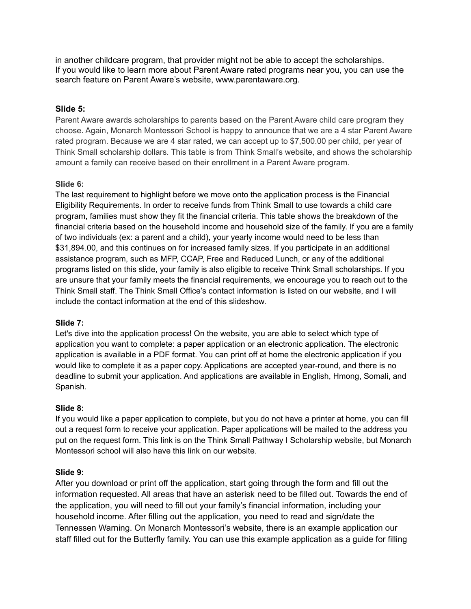in another childcare program, that provider might not be able to accept the scholarships. If you would like to learn more about Parent Aware rated programs near you, you can use the search feature on Parent Aware's website, www.parentaware.org.

### **Slide 5:**

Parent Aware awards scholarships to parents based on the Parent Aware child care program they choose. Again, Monarch Montessori School is happy to announce that we are a 4 star Parent Aware rated program. Because we are 4 star rated, we can accept up to \$7,500.00 per child, per year of Think Small scholarship dollars. This table is from Think Small's website, and shows the scholarship amount a family can receive based on their enrollment in a Parent Aware program.

#### **Slide 6:**

The last requirement to highlight before we move onto the application process is the Financial Eligibility Requirements. In order to receive funds from Think Small to use towards a child care program, families must show they fit the financial criteria. This table shows the breakdown of the financial criteria based on the household income and household size of the family. If you are a family of two individuals (ex: a parent and a child), your yearly income would need to be less than \$31,894.00, and this continues on for increased family sizes. If you participate in an additional assistance program, such as MFP, CCAP, Free and Reduced Lunch, or any of the additional programs listed on this slide, your family is also eligible to receive Think Small scholarships. If you are unsure that your family meets the financial requirements, we encourage you to reach out to the Think Small staff. The Think Small Office's contact information is listed on our website, and I will include the contact information at the end of this slideshow.

#### **Slide 7:**

Let's dive into the application process! On the website, you are able to select which type of application you want to complete: a paper application or an electronic application. The electronic application is available in a PDF format. You can print off at home the electronic application if you would like to complete it as a paper copy. Applications are accepted year-round, and there is no deadline to submit your application. And applications are available in English, Hmong, Somali, and Spanish.

#### **Slide 8:**

If you would like a paper application to complete, but you do not have a printer at home, you can fill out a request form to receive your application. Paper applications will be mailed to the address you put on the request form. This link is on the Think Small Pathway I Scholarship website, but Monarch Montessori school will also have this link on our website.

#### **Slide 9:**

After you download or print off the application, start going through the form and fill out the information requested. All areas that have an asterisk need to be filled out. Towards the end of the application, you will need to fill out your family's financial information, including your household income. After filling out the application, you need to read and sign/date the Tennessen Warning. On Monarch Montessori's website, there is an example application our staff filled out for the Butterfly family. You can use this example application as a guide for filling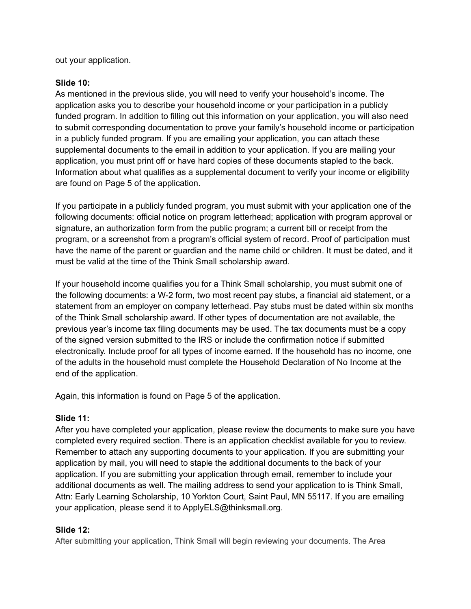out your application.

### **Slide 10:**

As mentioned in the previous slide, you will need to verify your household's income. The application asks you to describe your household income or your participation in a publicly funded program. In addition to filling out this information on your application, you will also need to submit corresponding documentation to prove your family's household income or participation in a publicly funded program. If you are emailing your application, you can attach these supplemental documents to the email in addition to your application. If you are mailing your application, you must print off or have hard copies of these documents stapled to the back. Information about what qualifies as a supplemental document to verify your income or eligibility are found on Page 5 of the application.

If you participate in a publicly funded program, you must submit with your application one of the following documents: official notice on program letterhead; application with program approval or signature, an authorization form from the public program; a current bill or receipt from the program, or a screenshot from a program's official system of record. Proof of participation must have the name of the parent or guardian and the name child or children. It must be dated, and it must be valid at the time of the Think Small scholarship award.

If your household income qualifies you for a Think Small scholarship, you must submit one of the following documents: a W-2 form, two most recent pay stubs, a financial aid statement, or a statement from an employer on company letterhead. Pay stubs must be dated within six months of the Think Small scholarship award. If other types of documentation are not available, the previous year's income tax filing documents may be used. The tax documents must be a copy of the signed version submitted to the IRS or include the confirmation notice if submitted electronically. Include proof for all types of income earned. If the household has no income, one of the adults in the household must complete the Household Declaration of No Income at the end of the application.

Again, this information is found on Page 5 of the application.

# **Slide 11:**

After you have completed your application, please review the documents to make sure you have completed every required section. There is an application checklist available for you to review. Remember to attach any supporting documents to your application. If you are submitting your application by mail, you will need to staple the additional documents to the back of your application. If you are submitting your application through email, remember to include your additional documents as well. The mailing address to send your application to is Think Small, Attn: Early Learning Scholarship, 10 Yorkton Court, Saint Paul, MN 55117. If you are emailing your application, please send it to ApplyELS@thinksmall.org.

# **Slide 12:**

After submitting your application, Think Small will begin reviewing your documents. The Area